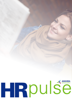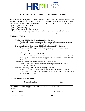

# **Q4 HR Pulse Article Requirements and Schedule Deadline**

Thank you for responding to the ASHHRA HR Pulse Call for Articles. We are thrilled that you are interested in educating our members. All submissions are selected based on the following criteria:

- The degree to which the article supports one or more of the ASHHRA HR Leader competencies
- Thoroughness of the subject matter
- Quality of best practices
- Quality of takeaway tools offered to readers

You can make multiple submissions should you have more than one idea. Thank you for your interest in advancing the health care human resources profession!

## **HR Leader Models**

### • **HR Delivery - HR Leaders Reach Beyond the Expected**

o Articles with this designation are for those seeking information on integrating the "people" side of health care with organizational business structures.

#### • **Healthcare Business Knowledge - HR Leaders Embrace New Learning**

- o An article with this designation is for those who want to demonstrate crossfunctional capability, health care knowledge, and strategic vision for their organization.
- **People Strategies - HR Leads with the Heart** 
	- o An article with this designation is for those whose goal is to create and implement operating models and structures that support a high-performance culture of care for employees.
- **Community Citizenship - HR Leaders Raise Their Voices** 
	- o An article that better connects employers with employees and links both to customers and communities.

#### • **Personal Leadership - HR Leaders Exemplify Excellence**

o An article with this designation helps those who want to accept the personal challenge to hold themselves to a higher standard than expected by others and serve as a model for excellence.

#### **Q4 Content Schedule/Deadlines**

| <b>Content Required</b>                              | Date               |
|------------------------------------------------------|--------------------|
|                                                      |                    |
| Author Call for Article Application, author bio, and | September 10, 2021 |
| headshot                                             |                    |
| 1st draft of article                                 | September 20, 2021 |
|                                                      |                    |
| Final draft of article                               | October 1, 2021    |
|                                                      |                    |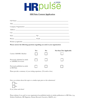

# **HR Pulse Content Application**

| Title:                                                                        |            |                |                         |  |
|-------------------------------------------------------------------------------|------------|----------------|-------------------------|--|
|                                                                               |            |                |                         |  |
|                                                                               |            |                |                         |  |
|                                                                               |            |                |                         |  |
|                                                                               |            |                |                         |  |
|                                                                               |            |                |                         |  |
|                                                                               |            |                |                         |  |
| Please answer the following questions regarding you and/or your organization: |            |                |                         |  |
|                                                                               | <b>Yes</b> | N <sub>0</sub> | Not Sure/Not Applicable |  |
| Current ASHHRA Member                                                         |            |                |                         |  |
|                                                                               |            |                |                         |  |

| Current ASHHRA Member                                   | Yes | $\mathbf{N}\mathbf{o}$ | Not Sure/Not Applicable |
|---------------------------------------------------------|-----|------------------------|-------------------------|
| Previously submitted an article<br>to ASHHRA for review |     |                        |                         |
| Previously published an article<br>in HR Pulse          |     |                        |                         |

Please provide a summary of your writing experience. (50 words or less)

Have you written about this topic or a similar topic prior to this submission?



If yes, where and when?

Please indicate if you and/or your organization has published articles in similar publications to HR Pulse. (e.g. Modern Healthcare, HR Magazine, Human Resource Executive, H&HN, etc.)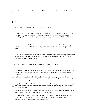If your article is not chosen for the HR Pulse, does ASHHRA have your permission to publish in our other electronic publications?



Please choose which level of audience your article will be most valuable.

New-to-the-Profession - An article designed for those new to the HR field or new to the health care HR field. This article will be created to help HR Professionals get started, have the tools and knowledge to know what to do next, and gain a good understanding of the ASHHRA HR Leader Model.

Mid-Level Professional - An article intended for generalists, specialists and/or mid-level managers looking to obtain the HR Leader Model competencies necessary to move to the next professional level.

Leader Track - An article designated for those with a minimum of five years leadership experience or who hold the title of DIR, VP, SRVP, or CHRO, that should provide the tools and knowledge to take organizations in a new direction.

Please select which HR Leader Model competency your article most closely represents.

HR Delivery - HR Leaders Reach Beyond the Expected - Articles with this designation are for those seeking information on integrating the "people" side of health care with organizational business structures.

Healthcare Business Knowledge - HR Leaders Embrace New Learning - An article with this designation is for those who want to demonstrate cross-functional capability, health care knowledge, and strategic vision for their organization.

People Strategies - HR Leads with the Heart - An article with this designation is for those whose goal is to create and implement operating models and structures that support a high-performance culture of care for employees.

Community Citizenship - HR Leaders Raise Their Voices - An article that better connects employers with employees and links both to customers and communities.

Personal Leadership - HR Leaders Exemplify Excellence - An article with this designation helps those who want to accept the personal challenge to hold themselves to a higher standard than expected by others and serve as a model for excellence.